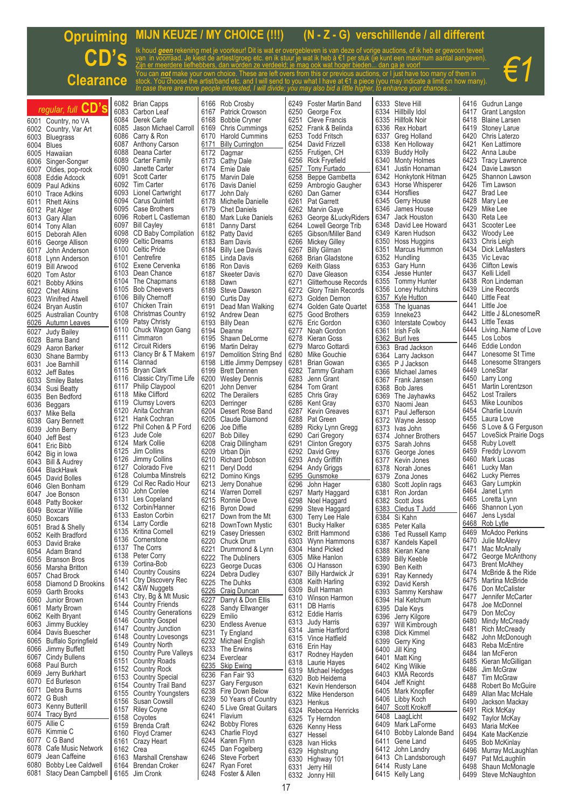## **MIJN KEUZE / MY CHOICE (!!!) (N - Z - G) verschillende / all different Opruiming CD's** Ik houd *geen* rekening met je voorkeur! Dit is wat er overgebleven is van deze of vorige auctions, of ik heb er gewoon teveel van in voorraad. Je kiest de artiest/groep etc. en ik stuur je wat ik heb à €1 per stuk (je kunt een maximum aantal aangeven). *€1* Zijn er meerdere liefhebbers, dan worden ze verdeeld; je mag ook wat hoger bieden... dan ga je voor! You can <u>not</u> make your own choice. These are left overs from this or previous auctions, or I just have too many of them in<br>stock. You choose the artist/band etc. and I will send to you what I have at €1 a piece (you may **Clearance** *In case there are more people interested, I will divide; you may also bid a little higher, to enhance your chances...* Ŧ ī Ŧ Ŧ

|      | regular, full CD's                                                 |           | 6082 Brian Capps            |      | 6166 Rob Crosby                        | 6249 | Foster Martin Band          |      | 6333 Steve Hill         |      | 6416 Gudrun Lange          |
|------|--------------------------------------------------------------------|-----------|-----------------------------|------|----------------------------------------|------|-----------------------------|------|-------------------------|------|----------------------------|
|      |                                                                    |           | 6083 Carbon Leaf            |      | 6167 Patrick Crowson                   | 6250 | George Fox                  |      | 6334 Hillbilly Idol     |      | 6417 Grant Langston        |
|      | 6001 Country, no VA                                                |           | 6084 Derek Carle            | 6168 | <b>Bobbie Cryner</b>                   |      | 6251 Cleve Francis          |      | 6335 Hillfolk Noir      |      | 6418 Blaine Larsen         |
|      | 6002 Country, Var Art                                              | 6085      | Jason Michael Carroll       |      | 6169 Chris Cummings                    |      | 6252 Frank & Belinda        |      | 6336 Rex Hobart         |      | 6419 Stoney Larue          |
| 6003 | <b>Bluegrass</b>                                                   |           | 6086 Carry & Ron            |      | 6170 Harold Cummins                    |      | 6253 Todd Fritsch           |      | 6337 Greg Holland       |      | 6420 Chris Laterzo         |
|      | 6004 Blues                                                         |           | 6087 Anthony Carson         | 6171 | <b>Billy Currington</b>                | 6254 | David Frizzell              |      | 6338 Ken Holloway       | 6421 | Ken Lattimore              |
|      | 6005 Hawaiian                                                      |           | 6088 Deana Carter           | 6172 | Dagmar                                 | 6255 | Frutigen, CH                |      | 6339 Buddy Holly        |      | 6422 Anna Laube            |
| 6006 | Singer-Songwr                                                      |           | 6089 Carter Family          |      | 6173 Cathy Dale                        | 6256 | Rick Fryefield              |      | 6340 Monty Holmes       |      | 6423 Tracy Lawrence        |
|      | 6007 Oldies, pop-rock                                              | 6090      | Janette Carter              |      | 6174 Ernie Dale                        |      | 6257 Tony Furtado           | 6341 | Justin Honaman          |      | 6424 Davie Lawson          |
|      | 6008 Eddie Adcock                                                  |           | 6091 Scott Carter           |      | 6175 Marvin Dale                       | 6258 | Beppe Gambetta              |      | 6342 Honkytonk Hitman   |      | 6425 Shannon Lawson        |
| 6009 |                                                                    |           | 6092 Tim Carter             |      | 6176 Davis Daniel                      |      | 6259 Ambrogio Gaugher       |      | 6343 Horse Whisperer    |      | 6426 Tim Lawson            |
|      | Paul Adkins                                                        |           | 6093 Lionel Cartwright      |      |                                        |      |                             |      | 6344 Horsflies          |      | 6427 Brad Lee              |
|      | 6010 Trace Adkins                                                  |           |                             |      | 6177 John Daly                         |      | 6260 Dan Garner             |      |                         |      |                            |
| 6011 | <b>Rhett Akins</b>                                                 |           | 6094 Carus Quintett         |      | 6178 Michelle Danielle                 |      | 6261 Pat Garrett            |      | 6345 Gerry House        |      | 6428 Mary Lee              |
|      | 6012 Pat Alger                                                     |           | 6095 Case Brothers          | 6179 | <b>Chet Daniels</b>                    |      | 6262 Marvin Gave            |      | 6346 James House        |      | 6429 Mike Lee              |
|      | 6013 Gary Allan                                                    |           | 6096 Robert L Castleman     |      | 6180 Mark Luke Daniels                 |      | 6263 George & Lucky Riders  | 6347 | Jack Houston            |      | 6430 Reta Lee              |
|      | 6014 Tony Allan                                                    |           | 6097 Bill Cayley            |      | 6181 Danny Darst                       |      | 6264 Lowell George Trib     |      | 6348 David Lee Howard   | 6431 | Scooter Lee                |
|      | 6015 Deborah Allen                                                 |           | 6098 CD Baby Compilation    |      | 6182 Patty David                       |      | 6265 Gibson/Miller Band     |      | 6349 Karen Hudson       |      | 6432 Woody Lee             |
|      | 6016 George Allison                                                |           | 6099 Celtic Dreams          |      | 6183 Bam Davis                         | 6266 | Mickey Gilley               |      | 6350 Hoss Huggins       |      | 6433 Chris Leigh           |
| 6017 | John Anderson                                                      |           | 6100 Celtic Pride           |      | 6184 Billy Lee Davis                   |      | 6267 Billy Gilman           |      | 6351 Marcus Hummon      |      | 6434 Dick LeMasters        |
|      |                                                                    |           | 6101 Centrefire             |      | 6185 Linda Davis                       |      | 6268 Brian Gladstone        |      | 6352 Hundling           |      | 6435 Vic Levac             |
|      | 6018 Lynn Anderson                                                 |           | 6102 Exene Cervenka         |      |                                        |      |                             |      |                         |      | 6436 Clifton Lewis         |
|      | 6019 Bill Arwood                                                   |           |                             |      | 6186 Ron Davis                         | 6269 | Keith Glass                 |      | 6353 Gary Hunn          |      |                            |
|      | 6020 Tom Astor                                                     | 6103      | Dean Chance                 |      | 6187 Skeeter Davis                     | 6270 | Dave Gleason                | 6354 | Jesse Hunter            |      | 6437 Kelli Lidell          |
| 6021 | Bobby Atkins                                                       |           | 6104 The Chapmans           |      | 6188 Dawn                              | 6271 | <b>Glitterhouse Records</b> | 6355 | Tommy Hunter            |      | 6438 Ron Lindeman          |
|      | 6022 Chet Atkins                                                   |           | 6105 Bob Cheevers           |      | 6189 Steve Dawson                      |      | 6272 Glory Train Records    |      | 6356 Loney Hutchins     |      | 6439 Line Records          |
|      | 6023 Winifred Atwell                                               |           | 6106 Billy Chernoff         |      | 6190 Curtis Day                        |      | 6273 Golden Demon           |      | 6357 Kyle Hutton        |      | 6440 Little Feat           |
|      | 6024 Bryan Austin                                                  |           | 6107 Chicken Train          |      | 6191 Dead Man Walking                  |      | 6274 Golden Gate Quartet    |      | 6358 The Iguanas        |      | 6441 Little Joe            |
|      | 6025 Australian Country                                            |           | 6108 Christmas Country      |      | 6192 Andrew Dean                       |      | 6275 Good Brothers          | 6359 | Inneke23                |      | 6442 Little J & LonesomeR  |
| 6026 | Autumn Leaves                                                      |           | 6109 Patsy Christy          |      | 6193 Billy Dean                        |      | 6276 Eric Gordon            |      | 6360 Interstate Cowboy  |      | 6443 Little Texas          |
|      |                                                                    |           | 6110 Chuck Wagon Gang       |      | 6194 Deanne                            |      | 6277 Noah Gordon            | 6361 | Irish Folk              |      | 6444 LivingName of Love    |
| 6027 | Judy Bailey                                                        |           | 6111 Cimmaron               |      |                                        |      | 6278 Kieran Goss            |      |                         |      | 6445 Los Lobos             |
|      | 6028 Bama Band                                                     |           |                             |      | 6195 Shawn DeLorme                     |      |                             |      | 6362 Burl Ives          |      |                            |
| 6029 | Aaron Barker                                                       |           | 6112 Circuit Riders         |      | 6196 Martin Delray                     |      | 6279 Marco Gottardi         |      | 6363 Brad Jackson       |      | 6446 Eddie London          |
|      | 6030 Shane Barmby                                                  |           | 6113 Clancy Br & T Makem    | 6197 | Demolition String Bnd                  |      | 6280 Mike Gouchie           |      | 6364 Larry Jackson      |      | 6447 Lonesome St Time      |
| 6031 | Joe Barnhill                                                       |           | 6114 Clannad                |      | 6198 Little Jimmy Dempsey              |      | 6281 Brian Gowan            |      | 6365 P J Jackson        |      | 6448 Lonesome Strangers    |
|      | 6032 Jeff Bates                                                    |           | 6115 Bryan Clark            |      | 6199 Brett Dennen                      |      | 6282 Tammy Graham           |      | 6366 Michael James      |      | 6449 LoneStar              |
|      | 6033 Smiley Bates                                                  |           | 6116 Classic Ctry/Time Life |      | 6200 Wesley Dennis                     |      | 6283 Jenn Grant             |      | 6367 Frank Jansen       |      | 6450 Larry Long            |
| 6034 | <b>Susi Beatty</b>                                                 |           | 6117 Philip Claypool        | 6201 | John Denver                            |      | 6284 Tom Grant              |      | 6368 Bob Jares          |      | 6451 Martin Lorentzson     |
|      |                                                                    |           | 6118 Mike Clifford          |      | 6202 The Derailers                     |      | 6285 Chris Gray             |      | 6369 The Jayhawks       |      | 6452 Lost Trailers         |
|      | 6035 Ben Bedford                                                   |           | 6119 Clumsy Lovers          |      | 6203 Derringer                         | 6286 | Kent Gray                   |      | 6370 Naomi Jean         |      | 6453 Mike Lounibos         |
|      | 6036 Beggars                                                       | 6120      | Anita Cochran               |      | 6204 Desert Rose Band                  |      | 6287 Kevin Greaves          |      |                         |      | 6454 Charlie Louvin        |
|      | 6037 Mike Bella                                                    |           | 6121 Hank Cochran           |      |                                        |      |                             | 6371 | Paul Jefferson          |      | 6455 Laura Love            |
| 6038 | <b>Gary Bennett</b>                                                |           |                             |      | 6205 Claude Diamond                    | 6288 | Pat Green                   |      | 6372 Wayne Jessop       |      |                            |
| 6039 | John Berry                                                         |           | 6122 Phil Cohen & P Ford    | 6206 | Joe Diffie                             |      | 6289 Ricky Lynn Gregg       | 6373 | Ivas John               |      | 6456 S Love & G Ferguson   |
| 6040 | Jeff Best                                                          |           | 6123 Jude Cole              |      | 6207 Bob Dilley                        |      | 6290 Cari Gregory           |      | 6374 Johner Brothers    |      | 6457 LoveSick Prairie Dogs |
|      |                                                                    |           | 6124 Mark Collie            |      | 6208 Craig Dillingham                  | 6291 | Clinton Gregory             |      | 6375 Sarah Johns        |      | 6458 Ruby Lovett           |
|      |                                                                    |           |                             |      |                                        |      |                             |      |                         |      |                            |
|      | 6041 Eric Bibb                                                     | 6125      | Jim Collins                 |      | 6209 Urban Djin                        |      | 6292 David Grey             |      |                         |      | 6459 Freddy Lovvorn        |
|      | 6042 Big in Iowa                                                   | 6126      | Jimmy Collins               |      |                                        | 6293 |                             |      | 6376 George Jones       |      | 6460 Mark Lucas            |
|      | 6043 Bill & Audrey                                                 |           |                             |      | 6210 Richard Dobson                    |      | Andy Griffith               |      | 6377 Kevin Jones        |      |                            |
|      | 6044 BlackHawk                                                     | 6127      | Colorado Five               |      | 6211 Deryl Dodd                        | 6294 | Andy Griggs                 |      | 6378 Norah Jones        | 6461 | Lucky Man                  |
|      | 6045 David Bolles                                                  |           | 6128 Columba Minstrels      |      | 6212 Domino Kings                      | 6295 | Gunsmoke                    |      | 6379 Zona Jones         |      | 6462 Lucky Pierres         |
|      | 6046 Glen Bonham                                                   |           | 6129 Col Rec Radio Hour     | 6213 | Jerry Donahue                          | 6296 | John Hager                  |      | 6380 Scott Joplin rags  |      | 6463 Gary Lumpkin          |
| 6047 | Joe Bonson                                                         | 6130      | John Conlee                 |      | 6214 Warren Dorrell                    | 6297 | Marty Haggard               |      | 6381 Ron Jordan         | 6464 | Janet Lynn                 |
| 6048 | Patty Booker                                                       |           | 6131 Les Copeland           |      | 6215 Ronnie Dove                       | 6298 | Noel Haggard                |      | 6382 Scott Joss         |      | 6465 Loretta Lynn          |
|      | 6049 Boxcar Willie                                                 |           | 6132 Corbin/Hanner          |      | 6216 Byron Dowd                        | 6299 | Steve Haggard               |      | 6383 Cledus T Judd      |      | 6466 Shannon Lyon          |
|      |                                                                    |           | 6133 Easton Corbin          |      | 6217 Down from the Mt                  | 6300 | Terry Lee Hale              |      | 6384 Si Kahn            |      | 6467 Jens Lysdal           |
|      | 6050 Boxcars                                                       |           | 6134 Larry Cordle           |      | 6218 DownTown Mystic                   | 6301 | <b>Bucky Halker</b>         |      |                         |      | 6468 Rob Lytle             |
|      | 6051 Brad & Shelly                                                 |           | 6135 Kritina Cornell        |      |                                        |      |                             |      | 6385 Peter Kalla        |      |                            |
|      | 6052 Keith Bradford                                                |           | 6136 Cornerstone            |      | 6219 Casey Driessen                    |      | 6302 Britt Hammond          |      | 6386 Ted Russell Kamp   |      | 6469 McAdoo Perkins        |
|      | 6053 David Brake                                                   |           |                             |      | 6220 Chuck Drum                        |      | 6303 Wynn Hammons           |      | 6387 Kandels Kapell     |      | 6470 Julie McAlevy         |
|      | 6054 Adam Brand                                                    |           | 6137 The Corrs              | 6221 | Drummond & Lynn                        | 6304 | <b>Hand Picked</b>          |      | 6388 Kieran Kane        |      | 6471 Mac McAnally          |
|      | 6055 Branson Bros                                                  |           | 6138 Peter Corry            |      | 6222 The Dubliners                     | 6305 | Mike Hanlon                 |      | 6389 Billy Keeble       |      | 6472 George McAnthony      |
|      | 6056 Marsha Britton                                                |           | 6139 Cortina-Bob            |      | 6223 George Ducas                      | 6306 | OJ Hansson                  |      | 6390 Ben Keith          |      | 6473 Brent McAthey         |
|      | 6057 Chad Brock                                                    |           | 6140 Country Cousins        |      | 6224 Debra Dudley                      |      | 6307 Billy Hardwick Jr      |      | 6391 Ray Kennedy        |      | 6474 McBride & the Ride    |
|      | 6058 Diamond D Brookins                                            |           | 6141 Ctry Discovery Rec     |      | 6225 The Duhks                         |      | 6308 Keith Harling          |      | 6392 David Kersh        |      | 6475 Martina McBride       |
|      | 6059 Garth Brooks                                                  |           | 6142 C&W Nuggets            |      | 6226 Craig Duncan                      | 6309 | Bull Harman                 |      |                         |      | 6476 Don McCalister        |
|      |                                                                    |           | 6143 Ctry, Bg & Mt Music    |      |                                        |      | 6310 Winson Harmon          |      | 6393 Sammy Kershaw      | 6477 | Jennifer McCarter          |
| 6060 | Junior Brown                                                       |           | 6144 Country Friends        | 6227 | Darryl & Don Ellis                     |      | 6311 DB Harris              |      | 6394 Hal Ketchum        |      | 6478 Joe McDonnel          |
|      | 6061 Marty Brown                                                   |           | 6145 Country Generations    |      | 6228 Sandy Ellwanger                   |      | 6312 Eddie Harris           |      | 6395 Dale Keys          |      | 6479 Don McCoy             |
|      | 6062 Keith Bryant                                                  |           | 6146 Country Gospel         | 6229 | Emilio                                 |      |                             |      | 6396 Jerry Kilgore      |      |                            |
| 6063 | Jimmy Buckley                                                      |           |                             |      | 6230 Endless Avenue                    |      | 6313 Judy Harris            |      | 6397 Will Kimbrough     |      | 6480 Mindy McCready        |
|      | 6064 Davis Buescher                                                |           | 6147 Country Junction       |      | 6231 Ty England                        |      | 6314 Jamie Hartford         |      | 6398 Dick Kimmel        |      | 6481 Rich McCready         |
|      | 6065 Buffalo Springfield                                           |           | 6148 Country Lovesongs      |      | 6232 Michael English                   |      | 6315 Vince Hatfield         |      | 6399 Gerry King         | 6482 | John McDonough             |
| 6066 | Jimmy Buffett                                                      |           | 6149 Country North          | 6233 | The Erwins                             |      | 6316 Erin Hav               |      | 6400 Jill King          |      | 6483 Reba McEntire         |
|      | 6067 Cindy Bullens                                                 |           | 6150 Country Pure Valleys   |      | 6234 Everclear                         |      | 6317 Rodney Hayden          |      | 6401 Matt King          |      | 6484 Ian McFeron           |
|      |                                                                    |           | 6151 Country Roads          |      |                                        |      | 6318 Laurie Hayes           |      |                         |      | 6485 Kieran McGilligan     |
|      | 6068 Paul Burch                                                    |           | 6152 Country Rock           |      | 6235 Skip Ewing                        |      | 6319 Michael Hedges         |      | 6402 King Wilkie        |      | 6486 Jim McGraw            |
|      | 6069 Jerry Burkhart                                                |           | 6153 Country Special        |      | 6236 Fan Fair '93                      |      | 6320 Bob Heidema            |      | 6403 KMA Records        |      | 6487 Tim McGraw            |
|      | 6070 Ed Burleson                                                   |           | 6154 Country Trail Band     |      | 6237 Gary Ferguson                     |      | 6321 Kevin Henderson        |      | 6404 Jeff Knight        |      | 6488 Robert Bo McGuire     |
|      | 6071 Debra Burns                                                   |           | 6155 Country Youngsters     |      | 6238 Fire Down Below                   |      |                             |      | 6405 Mark Knopfler      |      | 6489 Allan Mac McHale      |
|      | 6072 G Bush                                                        |           | 6156 Susan Cowsill          | 6239 | 50 Years of Country                    |      | 6322 Mike Henderson         |      | 6406 Libby Koch         |      |                            |
|      | 6073 Kenny Butterill                                               |           |                             |      | 6240 5 Live Great Guitars              | 6323 | Henkus                      |      | 6407 Scott Krokoff      |      | 6490 Jackson Mackay        |
|      | 6074 Tracy Byrd                                                    |           | 6157 Riley Coyne            |      | 6241 Flavium                           |      | 6324 Rebecca Henricks       |      | 6408 LaagLicht          |      | 6491 Rick McKay            |
|      | 6075 Allie C                                                       |           | 6158 Coyotes                |      |                                        |      | 6325 Ty Herndon             |      |                         |      | 6492 Taylor McKay          |
|      |                                                                    |           | 6159 Brenda Craft           |      | 6242 Bobby Flores                      |      | 6326 Kenny Hess             |      | 6409 Mark LaForme       |      | 6493 Maria McKee           |
|      | 6076 Kimmie C                                                      |           | 6160 Floyd Cramer           |      | 6243 Charlie Floyd                     |      | 6327 Hessel                 |      | 6410 Bobby Lalonde Band |      | 6494 Kate MacKenzie        |
|      | 6077 C G Band                                                      |           | 6161 Crazy Heart            |      | 6244 Karen Flynn                       |      | 6328 Ivan Hicks             |      | 6411 Gene Land          |      | 6495 Bob McKinlay          |
|      | 6078 Cafe Music Network                                            | 6162 Crea |                             |      | 6245 Dan Fogelberg                     |      | 6329 Highstrung             |      | 6412 John Landry        |      | 6496 Murray McLaughlan     |
|      | 6079 Jean Caffeine                                                 |           | 6163 Marshall Crenshaw      |      | 6246 Steve Forbert                     |      | 6330 Highway 101            |      | 6413 Ch Landsborough    |      | 6497 Pat McLaughlin        |
|      | 6080 Bobby Lee Caldwell<br>6081 Stacy Dean Campbell 6165 Jim Cronk |           | 6164 Brendan Croker         |      | 6247 Ryan Foret<br>6248 Foster & Allen |      | 6331 Jerry Hill             |      | 6414 Rusty Lane         |      | 6498 Shaun McMonagle       |

Jonny Hill

Kelly Lang

Steve McNaughton

Foster & Allen

Jim Cronk